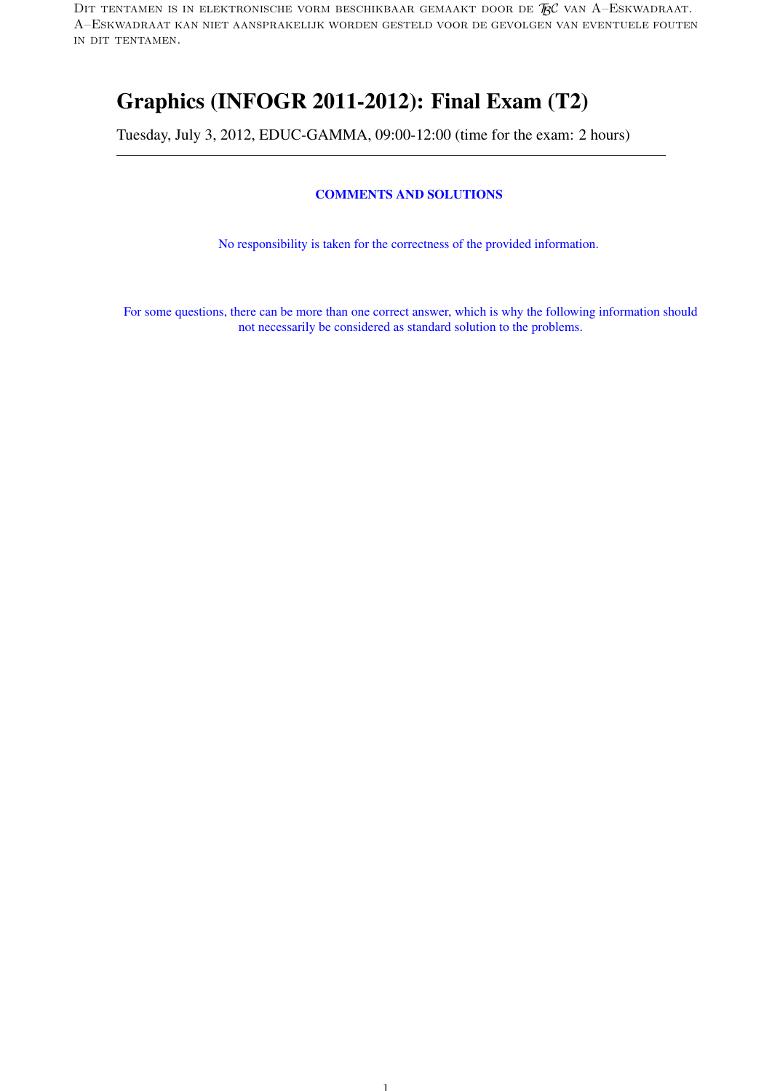DIT TENTAMEN IS IN ELEKTRONISCHE VORM BESCHIKBAAR GEMAAKT DOOR DE  $\mathcal{R}$ C van A–Eskwadraat. A–Eskwadraat kan niet aansprakelijk worden gesteld voor de gevolgen van eventuele fouten in dit tentamen.

# Graphics (INFOGR 2011-2012): Final Exam (T2)

Tuesday, July 3, 2012, EDUC-GAMMA, 09:00-12:00 (time for the exam: 2 hours)

## COMMENTS AND SOLUTIONS

No responsibility is taken for the correctness of the provided information.

For some questions, there can be more than one correct answer, which is why the following information should not necessarily be considered as standard solution to the problems.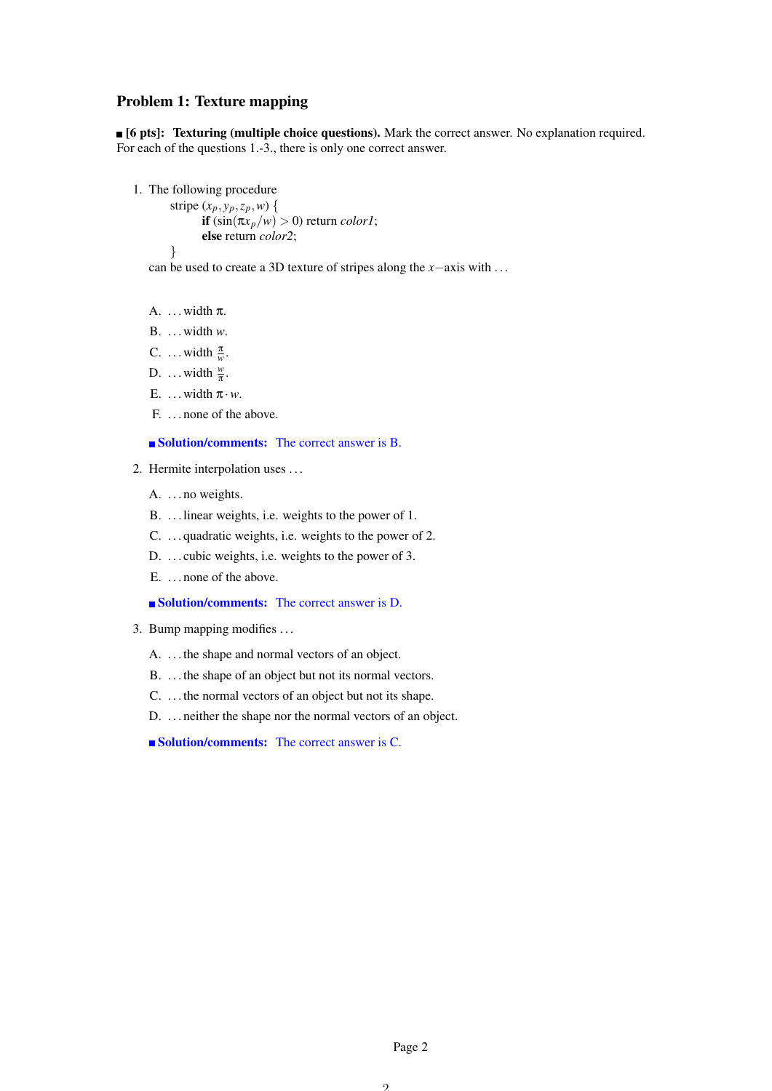### Problem 1: Texture mapping

**[6 pts]:** Texturing (multiple choice questions). Mark the correct answer. No explanation required. For each of the questions 1.-3., there is only one correct answer.

```
1. The following procedure
```

```
stripe (x_p, y_p, z_p, w) {
       if (\sin(\pi x_p/w) > 0) return color1;
       else return color2;
}
```
can be used to create a 3D texture of stripes along the *x*−axis with . . .

A. . . . width π.

- B.  $\ldots$  width  $w$ .
- C. ... width  $\frac{\pi}{w}$ .
- D. ... width  $\frac{w}{\pi}$ .
- E.  $\ldots$  width  $\pi \cdot w$ .
- F. . . . none of the above.

**Solution/comments:** The correct answer is B.

- 2. Hermite interpolation uses . . .
	- A. . . . no weights.
	- B. . . . linear weights, i.e. weights to the power of 1.
	- C. . . . quadratic weights, i.e. weights to the power of 2.
	- D. ... cubic weights, i.e. weights to the power of 3.
	- E. . . . none of the above.

#### **Solution/comments:** The correct answer is D.

- 3. Bump mapping modifies . . .
	- A. . . . the shape and normal vectors of an object.
	- B. ... the shape of an object but not its normal vectors.
	- C. . . . the normal vectors of an object but not its shape.
	- D. ... neither the shape nor the normal vectors of an object.
	- Solution/comments: The correct answer is C.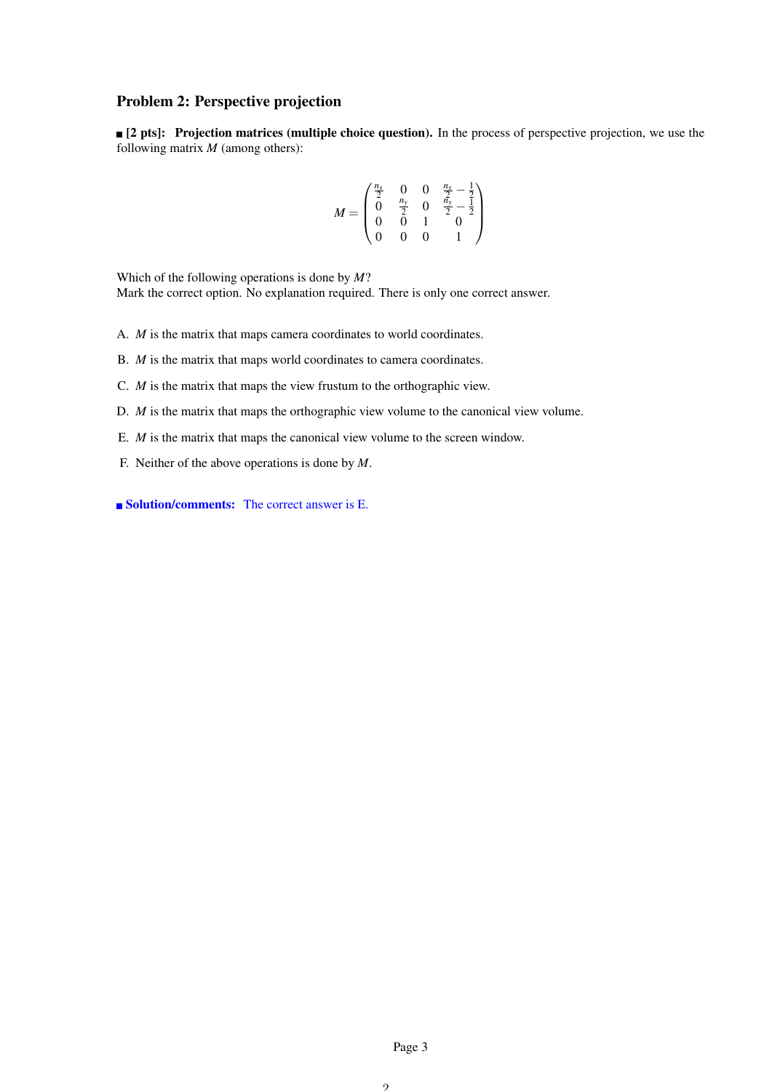## Problem 2: Perspective projection

 $\blacksquare$  [2 pts]: Projection matrices (multiple choice question). In the process of perspective projection, we use the following matrix *M* (among others):

$$
M = \begin{pmatrix} \frac{n_x}{2} & 0 & 0 & \frac{n_x}{2} - \frac{1}{2} \\ 0 & \frac{n_y}{2} & 0 & \frac{n_y}{2} - \frac{1}{2} \\ 0 & 0 & 1 & 0 \\ 0 & 0 & 0 & 1 \end{pmatrix}
$$

Which of the following operations is done by *M*? Mark the correct option. No explanation required. There is only one correct answer.

- A. *M* is the matrix that maps camera coordinates to world coordinates.
- B. *M* is the matrix that maps world coordinates to camera coordinates.
- C. *M* is the matrix that maps the view frustum to the orthographic view.
- D. *M* is the matrix that maps the orthographic view volume to the canonical view volume.
- E. *M* is the matrix that maps the canonical view volume to the screen window.
- F. Neither of the above operations is done by *M*.

■ Solution/comments: The correct answer is E.

 $\mathcal{L}$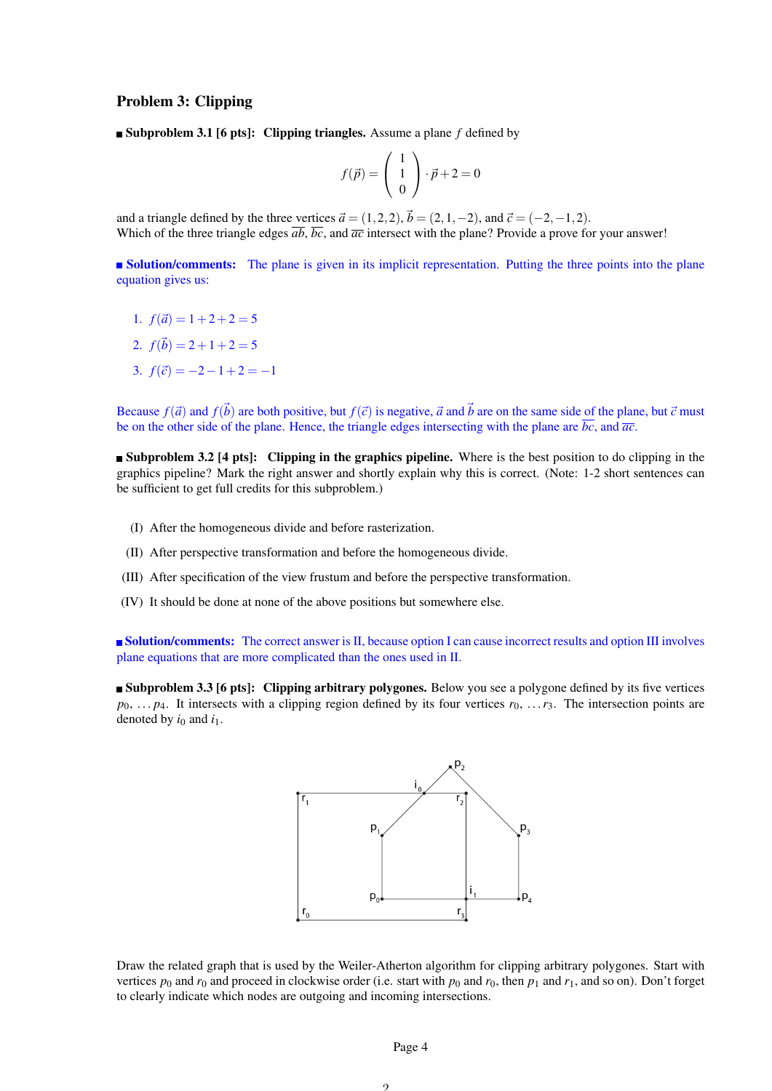#### Problem 3: Clipping

**Subproblem 3.1 [6 pts]: Clipping triangles.** Assume a plane *f* defined by

$$
f(\vec{p}) = \begin{pmatrix} 1 \\ 1 \\ 0 \end{pmatrix} \cdot \vec{p} + 2 = 0
$$

and a triangle defined by the three vertices  $\vec{a} = (1,2,2), \vec{b} = (2,1,-2)$ , and  $\vec{c} = (-2,-1,2)$ . Which of the three triangle edges  $\overline{ab}$ ,  $\overline{bc}$ , and  $\overline{ac}$  intersect with the plane? Provide a prove for your answer!

**Solution/comments:** The plane is given in its implicit representation. Putting the three points into the plane equation gives us:

- 1.  $f(\vec{a}) = 1+2+2=5$
- 2.  $f(\vec{b}) = 2+1+2=5$
- 3.  $f(\vec{c}) = -2 1 + 2 = -1$

Because  $f(\vec{a})$  and  $f(\vec{b})$  are both positive, but  $f(\vec{c})$  is negative,  $\vec{a}$  and  $\vec{b}$  are on the same side of the plane, but  $\vec{c}$  must be on the other side of the plane. Hence, the triangle edges intersecting with the plane are  $\overline{bc}$ , and  $\overline{ac}$ .

**Subproblem 3.2 [4 pts]:** Clipping in the graphics pipeline. Where is the best position to do clipping in the graphics pipeline? Mark the right answer and shortly explain why this is correct. (Note: 1-2 short sentences can be sufficient to get full credits for this subproblem.)

- (I) After the homogeneous divide and before rasterization.
- (II) After perspective transformation and before the homogeneous divide.
- (III) After specification of the view frustum and before the perspective transformation.
- (IV) It should be done at none of the above positions but somewhere else.

Solution/comments: The correct answer is II, because option I can cause incorrect results and option III involves plane equations that are more complicated than the ones used in II.

**Subproblem 3.3 [6 pts]:** Clipping arbitrary polygones. Below you see a polygone defined by its five vertices  $p_0, \ldots, p_4$ . It intersects with a clipping region defined by its four vertices  $r_0, \ldots, r_3$ . The intersection points are denoted by  $i_0$  and  $i_1$ .



Draw the related graph that is used by the Weiler-Atherton algorithm for clipping arbitrary polygones. Start with vertices  $p_0$  and  $r_0$  and proceed in clockwise order (i.e. start with  $p_0$  and  $r_0$ , then  $p_1$  and  $r_1$ , and so on). Don't forget to clearly indicate which nodes are outgoing and incoming intersections.

#### Page 4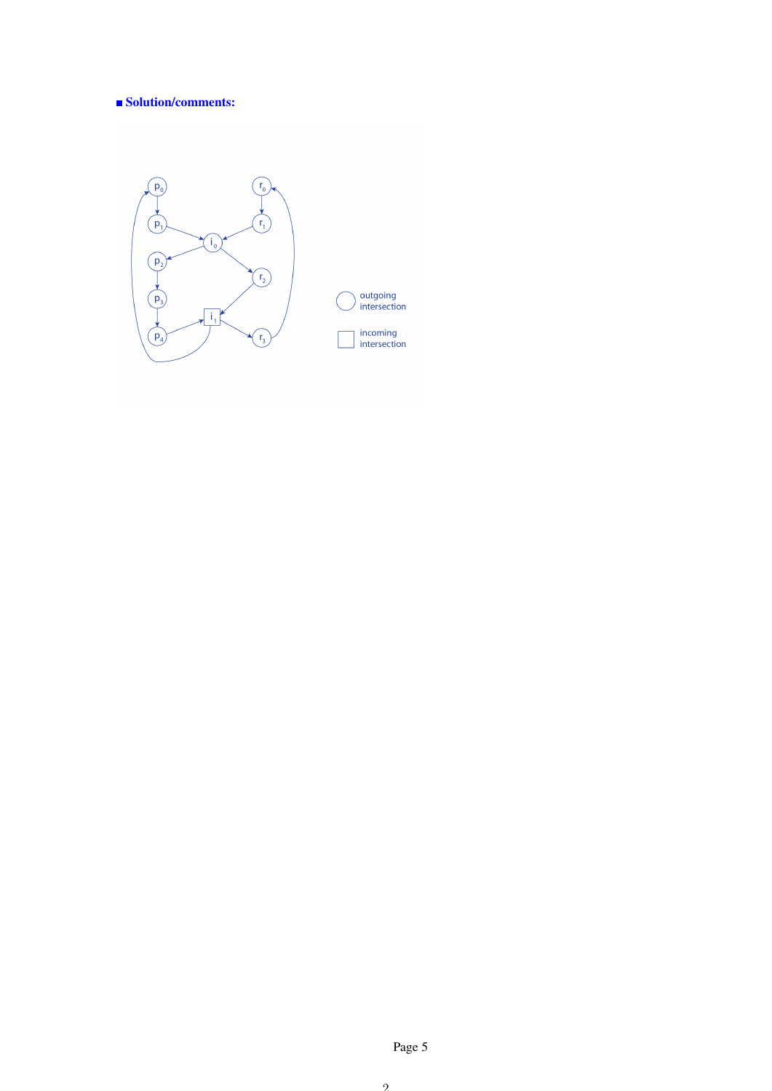# ■ Solution/comments:



Page 5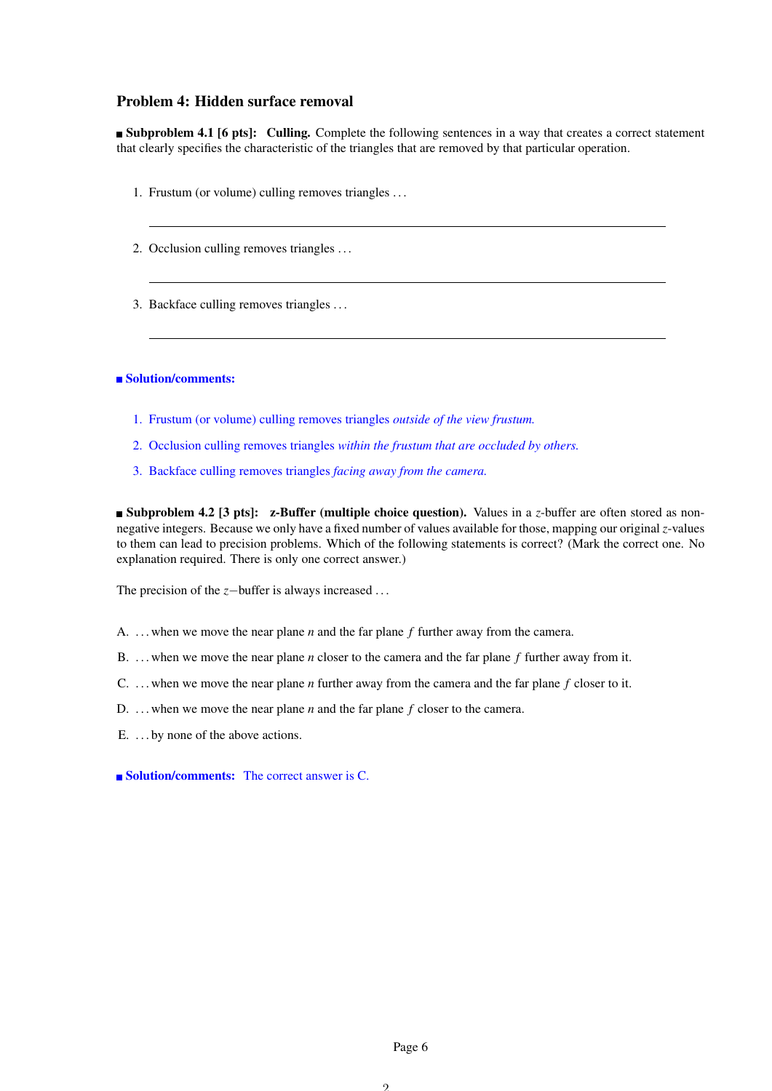# Problem 4: Hidden surface removal

**Subproblem 4.1 [6 pts]:** Culling. Complete the following sentences in a way that creates a correct statement that clearly specifies the characteristic of the triangles that are removed by that particular operation.

- 1. Frustum (or volume) culling removes triangles . . .
- 2. Occlusion culling removes triangles . . .
- 3. Backface culling removes triangles . . .

#### ■ Solution/comments:

- 1. Frustum (or volume) culling removes triangles *outside of the view frustum.*
- 2. Occlusion culling removes triangles *within the frustum that are occluded by others.*
- 3. Backface culling removes triangles *facing away from the camera.*

Subproblem 4.2 [3 pts]: z-Buffer (multiple choice question). Values in a *z*-buffer are often stored as nonnegative integers. Because we only have a fixed number of values available for those, mapping our original *z*-values to them can lead to precision problems. Which of the following statements is correct? (Mark the correct one. No explanation required. There is only one correct answer.)

The precision of the *z*−buffer is always increased ...

- A. . . . when we move the near plane *n* and the far plane *f* further away from the camera.
- B. . . . when we move the near plane *n* closer to the camera and the far plane *f* further away from it.
- C. . . . when we move the near plane *n* further away from the camera and the far plane *f* closer to it.
- D. . . . when we move the near plane *n* and the far plane *f* closer to the camera.
- E. . . . by none of the above actions.

■ Solution/comments: The correct answer is C.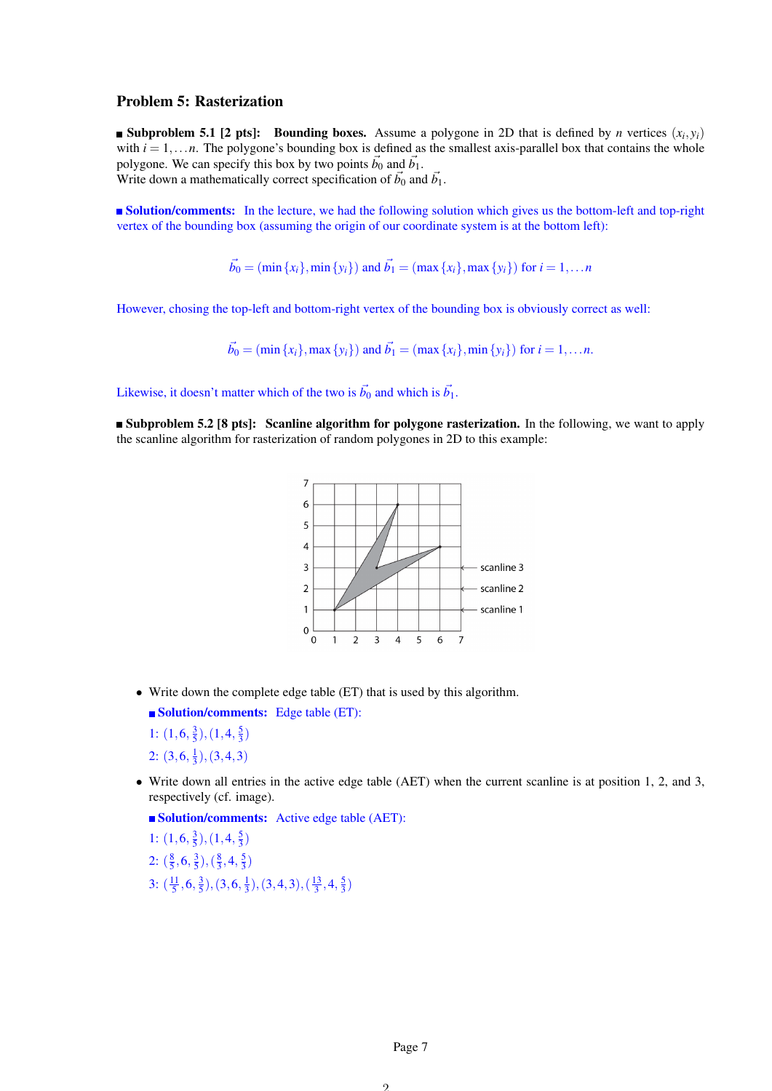#### Problem 5: Rasterization

**Subproblem 5.1 [2 pts]:** Bounding boxes. Assume a polygone in 2D that is defined by *n* vertices  $(x_i, y_i)$ with  $i = 1, \ldots n$ . The polygone's bounding box is defined as the smallest axis-parallel box that contains the whole polygone. We can specify this box by two points  $\vec{b}_0$  and  $\vec{b}_1$ . Write down a mathematically correct specification of  $\vec{b}_0$  and  $\vec{b}_1$ .

**Solution/comments:** In the lecture, we had the following solution which gives us the bottom-left and top-right vertex of the bounding box (assuming the origin of our coordinate system is at the bottom left):

$$
\vec{b_0}
$$
 = (min {*x<sub>i</sub>*}, min {*y<sub>i</sub>*}) and  $\vec{b_1}$  = (max {*x<sub>i</sub>*}, max {*y<sub>i</sub>*}) for *i* = 1,... *n*

However, chosing the top-left and bottom-right vertex of the bounding box is obviously correct as well:

$$
\vec{b_0}
$$
 = (min {*x<sub>i</sub>*}, max {*y<sub>i</sub>*}) and  $\vec{b_1}$  = (max {*x<sub>i</sub>*}, min {*y<sub>i</sub>*}) for *i* = 1,...*n*.

Likewise, it doesn't matter which of the two is  $\vec{b}_0$  and which is  $\vec{b}_1$ .

**Subproblem 5.2 [8 pts]:** Scanline algorithm for polygone rasterization. In the following, we want to apply the scanline algorithm for rasterization of random polygones in 2D to this example:



- Write down the complete edge table (ET) that is used by this algorithm.
	- Solution/comments: Edge table (ET): 1:  $(1,6,\frac{3}{5}), (1,4,\frac{5}{3})$ 2:  $(3,6,\frac{1}{3})$ ,  $(3,4,3)$
- Write down all entries in the active edge table (AET) when the current scanline is at position 1, 2, and 3, respectively (cf. image).

Solution/comments: Active edge table (AET):

1:  $(1,6,\frac{3}{5})$ ,  $(1,4,\frac{5}{3})$ 

- 2:  $(\frac{8}{5}, 6, \frac{3}{5}), (\frac{8}{3}, 4, \frac{5}{3})$
- 3:  $\left(\frac{11}{5}, 6, \frac{3}{5}\right), (3, 6, \frac{1}{3}), (3, 4, 3), \left(\frac{13}{3}, 4, \frac{5}{3}\right)$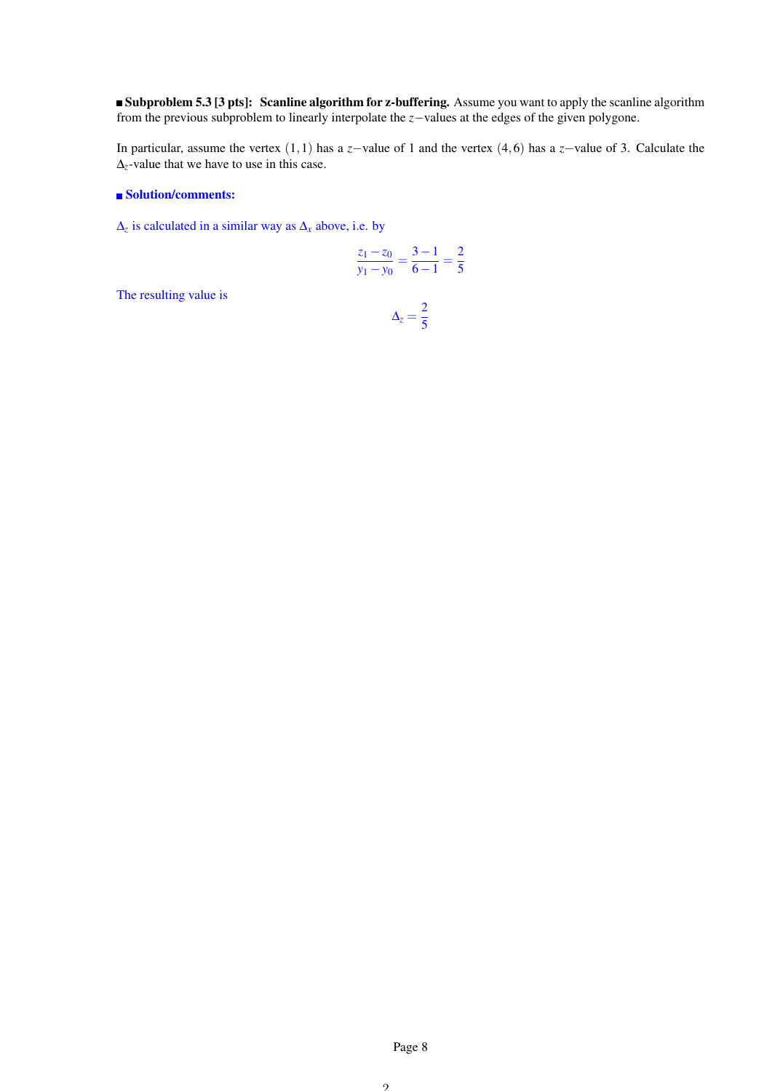**Subproblem 5.3 [3 pts]: Scanline algorithm for z-buffering.** Assume you want to apply the scanline algorithm from the previous subproblem to linearly interpolate the *z*−values at the edges of the given polygone.

In particular, assume the vertex (1,1) has a *z*−value of 1 and the vertex (4,6) has a *z*−value of 3. Calculate the ∆*z*-value that we have to use in this case.

## ■ Solution/comments:

∆*z* is calculated in a similar way as ∆*<sup>x</sup>* above, i.e. by

$$
\frac{z_1 - z_0}{y_1 - y_0} = \frac{3 - 1}{6 - 1} = \frac{2}{5}
$$

The resulting value is

 $\Delta_z = \frac{2}{5}$ 5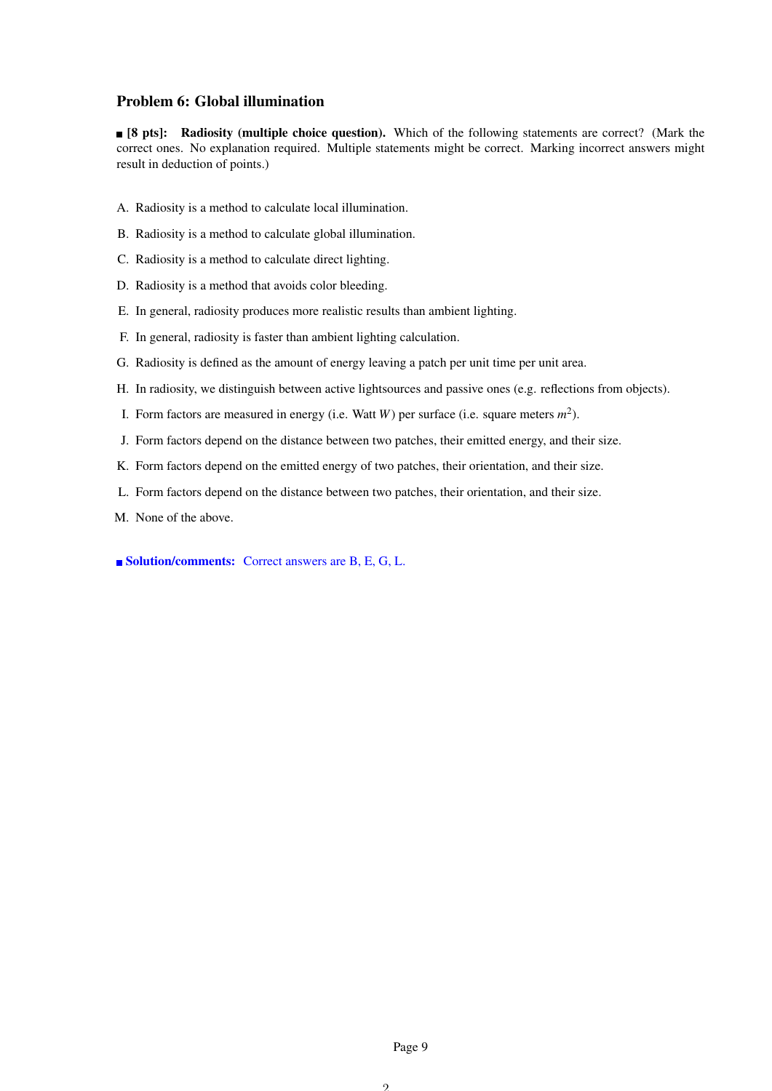# Problem 6: Global illumination

 $\blacksquare$  **[8 pts]:** Radiosity (multiple choice question). Which of the following statements are correct? (Mark the correct ones. No explanation required. Multiple statements might be correct. Marking incorrect answers might result in deduction of points.)

- A. Radiosity is a method to calculate local illumination.
- B. Radiosity is a method to calculate global illumination.
- C. Radiosity is a method to calculate direct lighting.
- D. Radiosity is a method that avoids color bleeding.
- E. In general, radiosity produces more realistic results than ambient lighting.
- F. In general, radiosity is faster than ambient lighting calculation.
- G. Radiosity is defined as the amount of energy leaving a patch per unit time per unit area.
- H. In radiosity, we distinguish between active lightsources and passive ones (e.g. reflections from objects).
- I. Form factors are measured in energy (i.e. Watt *W*) per surface (i.e. square meters *m* 2 ).
- J. Form factors depend on the distance between two patches, their emitted energy, and their size.
- K. Form factors depend on the emitted energy of two patches, their orientation, and their size.
- L. Form factors depend on the distance between two patches, their orientation, and their size.
- M. None of the above.

■ Solution/comments: Correct answers are B, E, G, L,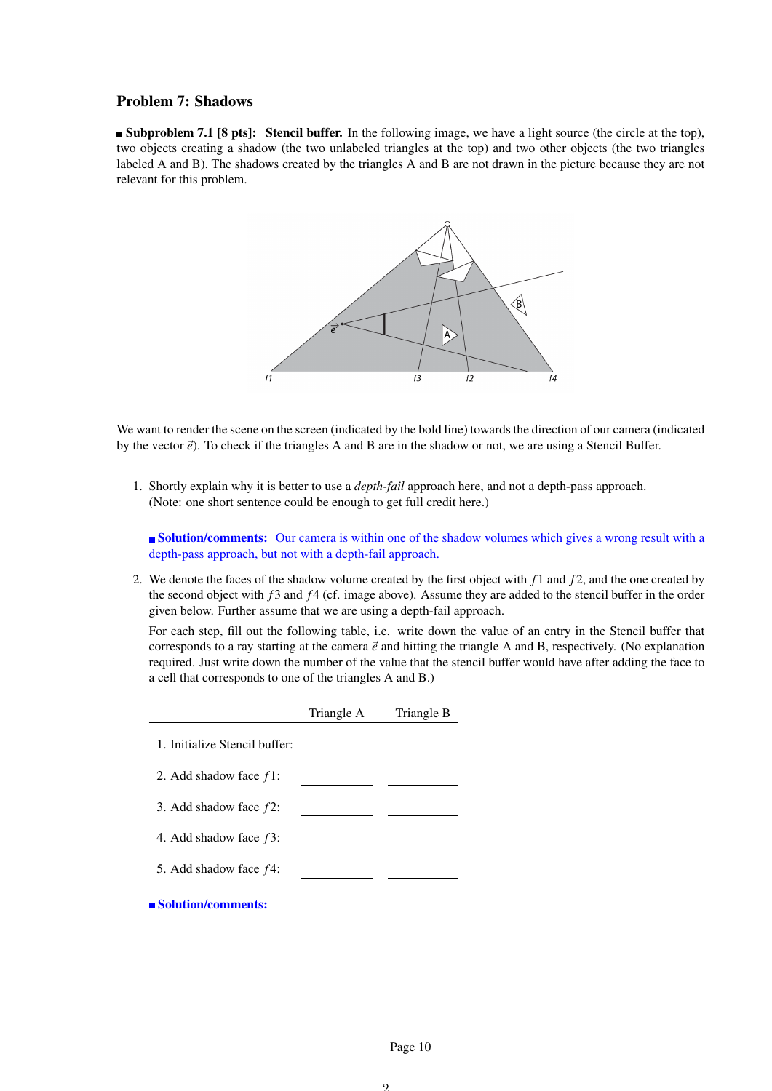## Problem 7: Shadows

**Subproblem 7.1 [8 pts]: Stencil buffer.** In the following image, we have a light source (the circle at the top), two objects creating a shadow (the two unlabeled triangles at the top) and two other objects (the two triangles labeled A and B). The shadows created by the triangles A and B are not drawn in the picture because they are not relevant for this problem.



We want to render the scene on the screen (indicated by the bold line) towards the direction of our camera (indicated by the vector  $\vec{e}$ ). To check if the triangles A and B are in the shadow or not, we are using a Stencil Buffer.

1. Shortly explain why it is better to use a *depth-fail* approach here, and not a depth-pass approach. (Note: one short sentence could be enough to get full credit here.)

**Solution/comments:** Our camera is within one of the shadow volumes which gives a wrong result with a depth-pass approach, but not with a depth-fail approach.

2. We denote the faces of the shadow volume created by the first object with *f* 1 and *f* 2, and the one created by the second object with *f* 3 and *f* 4 (cf. image above). Assume they are added to the stencil buffer in the order given below. Further assume that we are using a depth-fail approach.

For each step, fill out the following table, i.e. write down the value of an entry in the Stencil buffer that corresponds to a ray starting at the camera  $\vec{e}$  and hitting the triangle A and B, respectively. (No explanation required. Just write down the number of the value that the stencil buffer would have after adding the face to a cell that corresponds to one of the triangles A and B.)

|                               | Triangle A | Triangle B |
|-------------------------------|------------|------------|
| 1. Initialize Stencil buffer: |            |            |
| 2. Add shadow face f1:        |            |            |
| 3. Add shadow face f2:        |            |            |
| 4. Add shadow face $f3$ :     |            |            |
| 5. Add shadow face f4:        |            |            |
| ■ Solution/comments:          |            |            |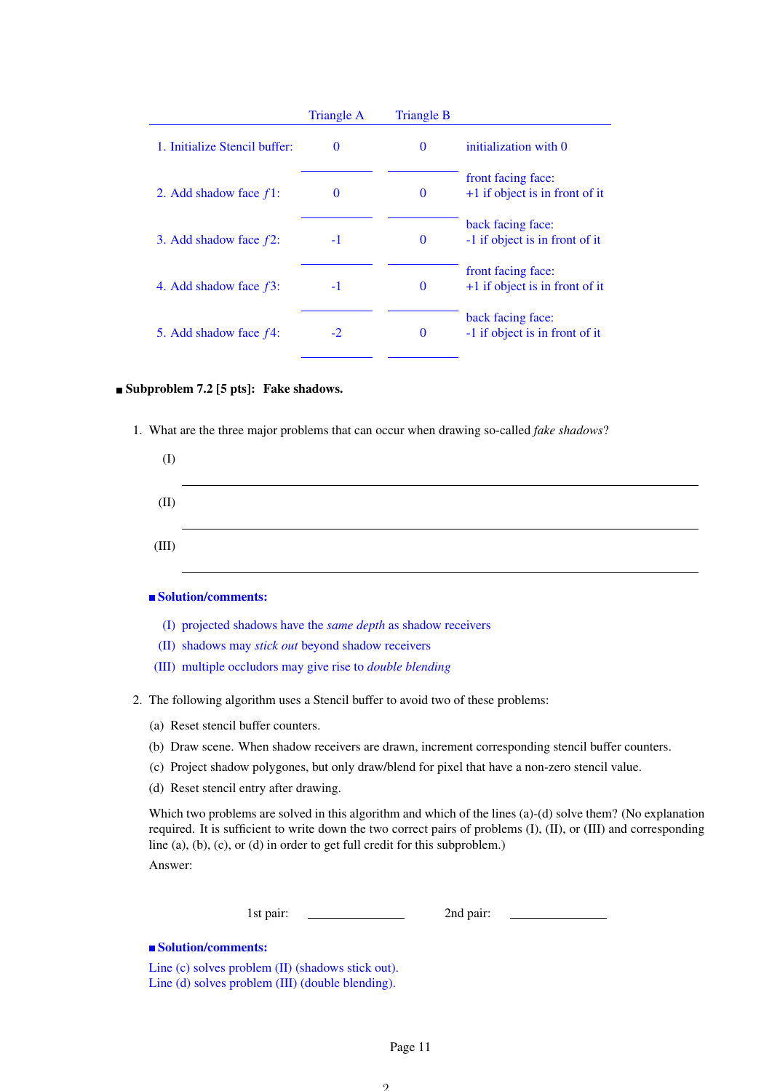|                               | Triangle A | <b>Triangle B</b> |                                                        |
|-------------------------------|------------|-------------------|--------------------------------------------------------|
| 1. Initialize Stencil buffer: | $\Omega$   | $\bf{0}$          | initialization with 0                                  |
| 2. Add shadow face $f1$ :     | 0          | $\bf{0}$          | front facing face:<br>$+1$ if object is in front of it |
| 3. Add shadow face f2:        | -1         | $\bf{0}$          | back facing face:<br>-1 if object is in front of it    |
| 4. Add shadow face $f3$ :     | -1         | $\bf{0}$          | front facing face:<br>$+1$ if object is in front of it |
| 5. Add shadow face f4:        | $-2.$      | $\bf{0}$          | back facing face:<br>-1 if object is in front of it    |

#### Subproblem 7.2 [5 pts]: Fake shadows.

1. What are the three major problems that can occur when drawing so-called *fake shadows*?

| $\left( 1\right)$ |  |
|-------------------|--|
| (II)              |  |
| (III)             |  |

#### ■ Solution/comments:

- (I) projected shadows have the *same depth* as shadow receivers
- (II) shadows may *stick out* beyond shadow receivers
- (III) multiple occludors may give rise to *double blending*
- 2. The following algorithm uses a Stencil buffer to avoid two of these problems:
	- (a) Reset stencil buffer counters.
	- (b) Draw scene. When shadow receivers are drawn, increment corresponding stencil buffer counters.
	- (c) Project shadow polygones, but only draw/blend for pixel that have a non-zero stencil value.
	- (d) Reset stencil entry after drawing.

Which two problems are solved in this algorithm and which of the lines (a)-(d) solve them? (No explanation required. It is sufficient to write down the two correct pairs of problems (I), (II), or (III) and corresponding line (a), (b), (c), or (d) in order to get full credit for this subproblem.)

Answer:

1st pair: 2nd pair:

#### Solution/comments:

Line (c) solves problem (II) (shadows stick out). Line (d) solves problem (III) (double blending).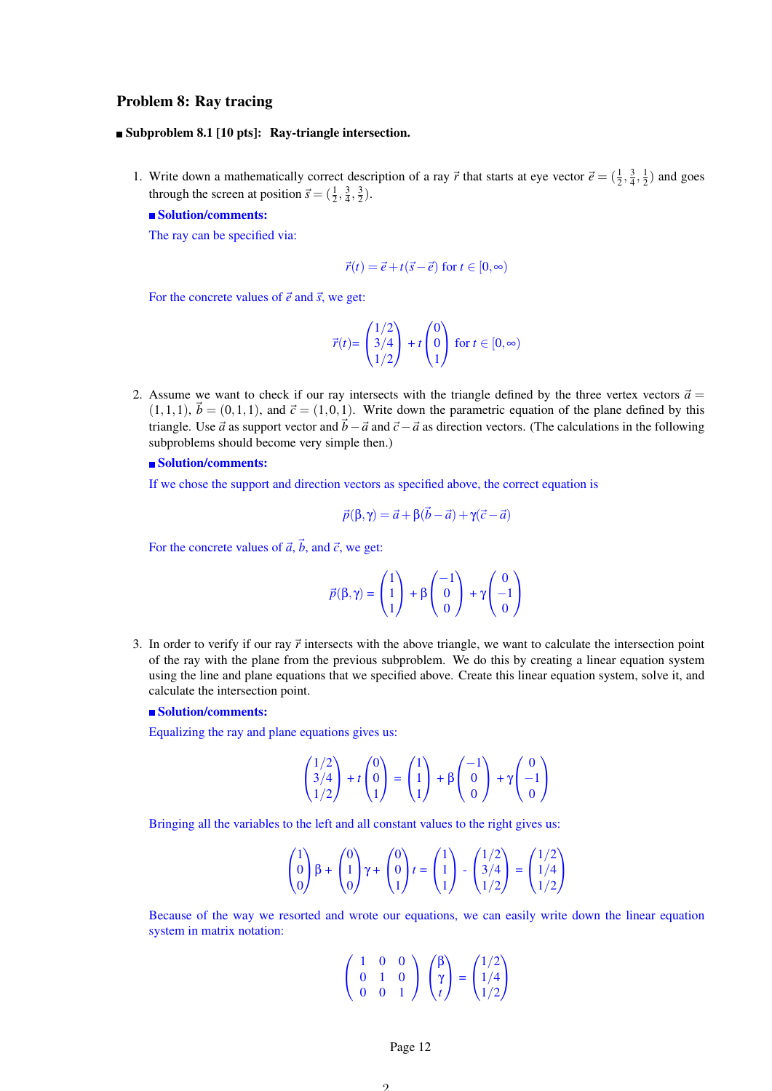#### Problem 8: Ray tracing

#### Subproblem 8.1 [10 pts]: Ray-triangle intersection.

1. Write down a mathematically correct description of a ray  $\vec{r}$  that starts at eye vector  $\vec{e} = (\frac{1}{2}, \frac{3}{4}, \frac{1}{2})$  and goes through the screen at position  $\vec{s} = (\frac{1}{2}, \frac{3}{4}, \frac{3}{2})$ .

#### ■ Solution/comments:

The ray can be specified via:

$$
\vec{r}(t) = \vec{e} + t(\vec{s} - \vec{e}) \text{ for } t \in [0, \infty)
$$

For the concrete values of  $\vec{e}$  and  $\vec{s}$ , we get:

$$
\vec{r}(t) = \begin{pmatrix} 1/2 \\ 3/4 \\ 1/2 \end{pmatrix} + t \begin{pmatrix} 0 \\ 0 \\ 1 \end{pmatrix} \text{ for } t \in [0, \infty)
$$

2. Assume we want to check if our ray intersects with the triangle defined by the three vertex vectors  $\vec{a}$  =  $(1,1,1), \tilde{b} = (0,1,1),$  and  $\vec{c} = (1,0,1).$  Write down the parametric equation of the plane defined by this triangle. Use  $\vec{a}$  as support vector and  $\vec{b}-\vec{a}$  and  $\vec{c}-\vec{a}$  as direction vectors. (The calculations in the following subproblems should become very simple then.)

#### ■ Solution/comments:

If we chose the support and direction vectors as specified above, the correct equation is

$$
\vec{p}(\beta, \gamma) = \vec{a} + \beta(\vec{b} - \vec{a}) + \gamma(\vec{c} - \vec{a})
$$

For the concrete values of  $\vec{a}$ ,  $\vec{b}$ , and  $\vec{c}$ , we get:

$$
\vec{p}(\beta,\gamma)=\begin{pmatrix}1\\1\\1\end{pmatrix}+\beta\begin{pmatrix}-1\\0\\0\end{pmatrix}+\gamma\begin{pmatrix}0\\-1\\0\end{pmatrix}
$$

3. In order to verify if our ray  $\vec{r}$  intersects with the above triangle, we want to calculate the intersection point of the ray with the plane from the previous subproblem. We do this by creating a linear equation system using the line and plane equations that we specified above. Create this linear equation system, solve it, and calculate the intersection point.

### ■ Solution/comments:

Equalizing the ray and plane equations gives us:

$$
\begin{pmatrix} 1/2 \\ 3/4 \\ 1/2 \end{pmatrix} + t \begin{pmatrix} 0 \\ 0 \\ 1 \end{pmatrix} = \begin{pmatrix} 1 \\ 1 \\ 1 \end{pmatrix} + \beta \begin{pmatrix} -1 \\ 0 \\ 0 \end{pmatrix} + \gamma \begin{pmatrix} 0 \\ -1 \\ 0 \end{pmatrix}
$$

Bringing all the variables to the left and all constant values to the right gives us:

$$
\begin{pmatrix} 1 \\ 0 \\ 0 \end{pmatrix} \beta + \begin{pmatrix} 0 \\ 1 \\ 0 \end{pmatrix} \gamma + \begin{pmatrix} 0 \\ 0 \\ 1 \end{pmatrix} t = \begin{pmatrix} 1 \\ 1 \\ 1 \end{pmatrix} - \begin{pmatrix} 1/2 \\ 3/4 \\ 1/2 \end{pmatrix} = \begin{pmatrix} 1/2 \\ 1/4 \\ 1/2 \end{pmatrix}
$$

Because of the way we resorted and wrote our equations, we can easily write down the linear equation system in matrix notation:

$$
\begin{pmatrix} 1 & 0 & 0 \ 0 & 1 & 0 \ 0 & 0 & 1 \end{pmatrix} \begin{pmatrix} \beta \\ \gamma \\ t \end{pmatrix} = \begin{pmatrix} 1/2 \\ 1/4 \\ 1/2 \end{pmatrix}
$$

Page 12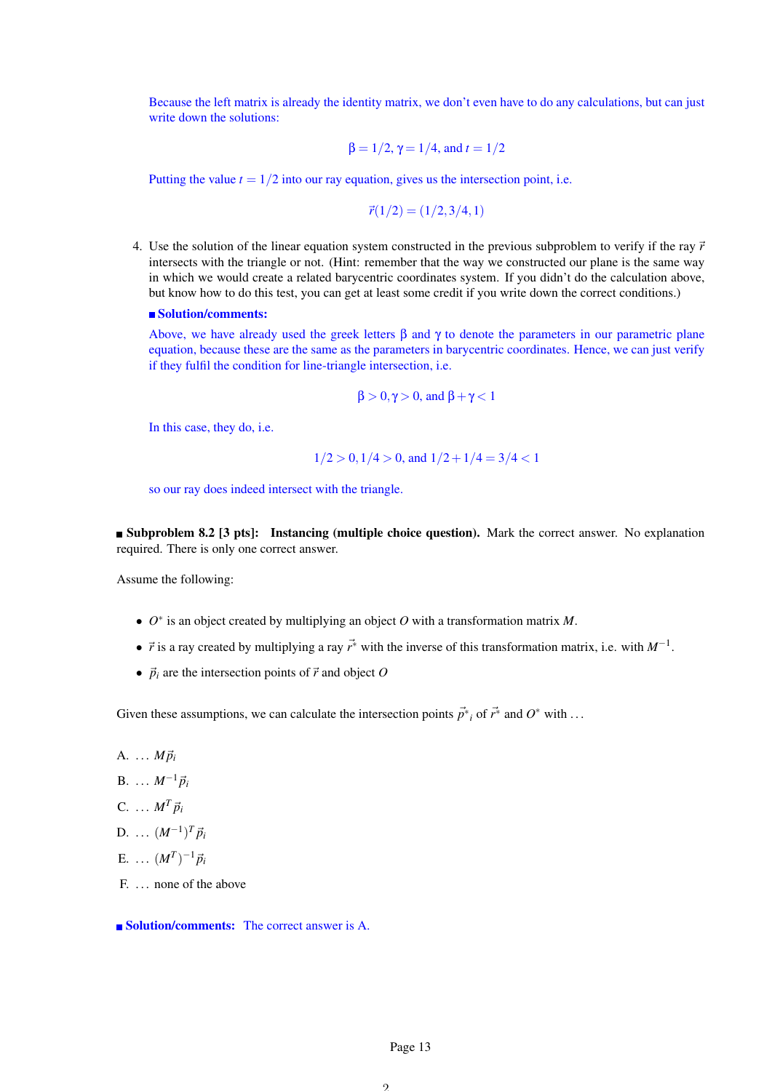Because the left matrix is already the identity matrix, we don't even have to do any calculations, but can just write down the solutions:

$$
\beta = 1/2, \gamma = 1/4, \text{ and } t = 1/2
$$

Putting the value  $t = 1/2$  into our ray equation, gives us the intersection point, i.e.

$$
\vec{r}(1/2) = (1/2, 3/4, 1)
$$

4. Use the solution of the linear equation system constructed in the previous subproblem to verify if the ray  $\vec{r}$ intersects with the triangle or not. (Hint: remember that the way we constructed our plane is the same way in which we would create a related barycentric coordinates system. If you didn't do the calculation above, but know how to do this test, you can get at least some credit if you write down the correct conditions.)

#### Solution/comments:

Above, we have already used the greek letters  $\beta$  and  $\gamma$  to denote the parameters in our parametric plane equation, because these are the same as the parameters in barycentric coordinates. Hence, we can just verify if they fulfil the condition for line-triangle intersection, i.e.

$$
\beta > 0, \gamma > 0, \text{ and } \beta + \gamma < 1
$$

In this case, they do, i.e.

$$
1/2 > 0
$$
,  $1/4 > 0$ , and  $1/2 + 1/4 = 3/4 < 1$ 

so our ray does indeed intersect with the triangle.

Subproblem 8.2 [3 pts]: Instancing (multiple choice question). Mark the correct answer. No explanation required. There is only one correct answer.

Assume the following:

- *O* ∗ is an object created by multiplying an object *O* with a transformation matrix *M*.
- $\vec{r}$  is a ray created by multiplying a ray  $\vec{r}$  with the inverse of this transformation matrix, i.e. with  $M^{-1}$ .
- $\vec{p}_i$  are the intersection points of  $\vec{r}$  and object *O*

Given these assumptions, we can calculate the intersection points  $\vec{p^*}_i$  of  $\vec{r^*}$  and  $O^*$  with ...

- A. ...  $M\vec{p}_i$
- $B. \ldots M^{-1} \vec{p}_i$
- C. ...  $M^T \vec{p}_i$
- $D.$  *...*  $(M^{-1})^T \vec{p}_i$
- E. ...  $(M^T)^{-1} \vec{p}_i$
- F. ... none of the above

**Solution/comments:** The correct answer is A.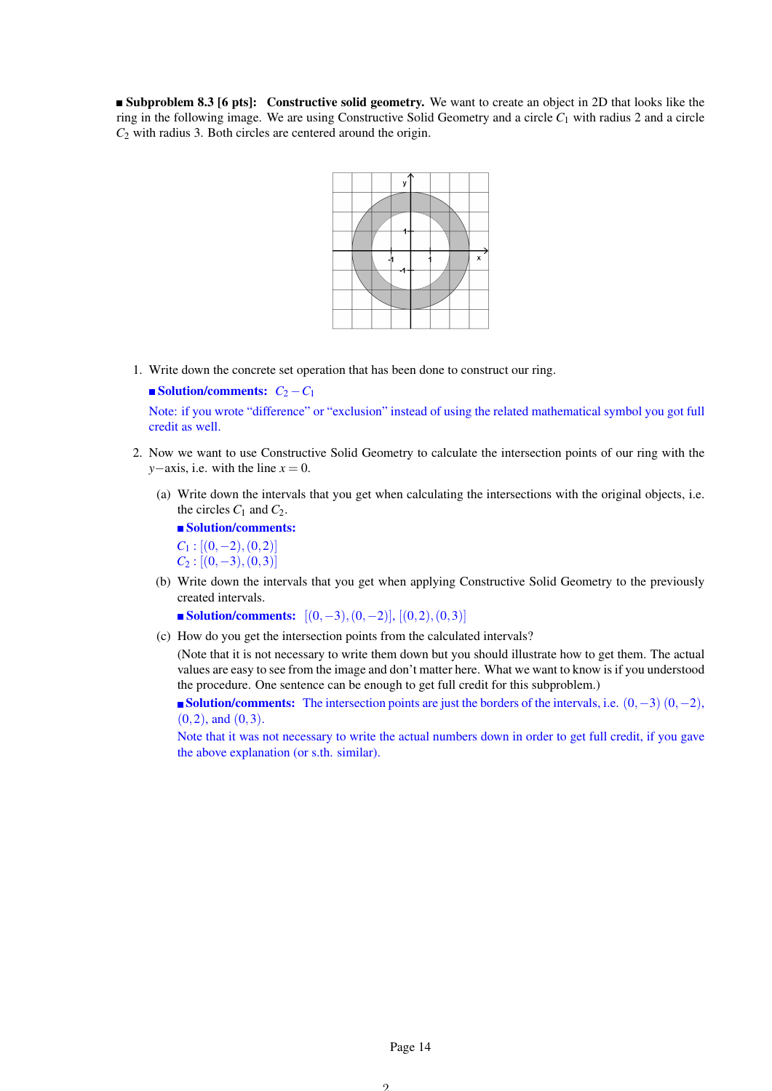**Subproblem 8.3 [6 pts]:** Constructive solid geometry. We want to create an object in 2D that looks like the ring in the following image. We are using Constructive Solid Geometry and a circle *C*<sup>1</sup> with radius 2 and a circle *C*<sup>2</sup> with radius 3. Both circles are centered around the origin.



1. Write down the concrete set operation that has been done to construct our ring.

#### ■ Solution/comments:  $C_2 - C_1$

Note: if you wrote "difference" or "exclusion" instead of using the related mathematical symbol you got full credit as well.

- 2. Now we want to use Constructive Solid Geometry to calculate the intersection points of our ring with the *y*−axis, i.e. with the line  $x = 0$ .
	- (a) Write down the intervals that you get when calculating the intersections with the original objects, i.e. the circles  $C_1$  and  $C_2$ .

■ Solution/comments:  $C_1$  : [(0,−2), (0,2)]  $C_2 : [(0,-3),(0,3)]$ 

(b) Write down the intervals that you get when applying Constructive Solid Geometry to the previously created intervals.

■ Solution/comments:  $[(0,-3),(0,-2)]$ ,  $[(0,2),(0,3)]$ 

(c) How do you get the intersection points from the calculated intervals?

(Note that it is not necessary to write them down but you should illustrate how to get them. The actual values are easy to see from the image and don't matter here. What we want to know is if you understood the procedure. One sentence can be enough to get full credit for this subproblem.)

■ Solution/comments: The intersection points are just the borders of the intervals, i.e.  $(0, -3)$   $(0, -2)$ ,  $(0,2)$ , and  $(0,3)$ .

Note that it was not necessary to write the actual numbers down in order to get full credit, if you gave the above explanation (or s.th. similar).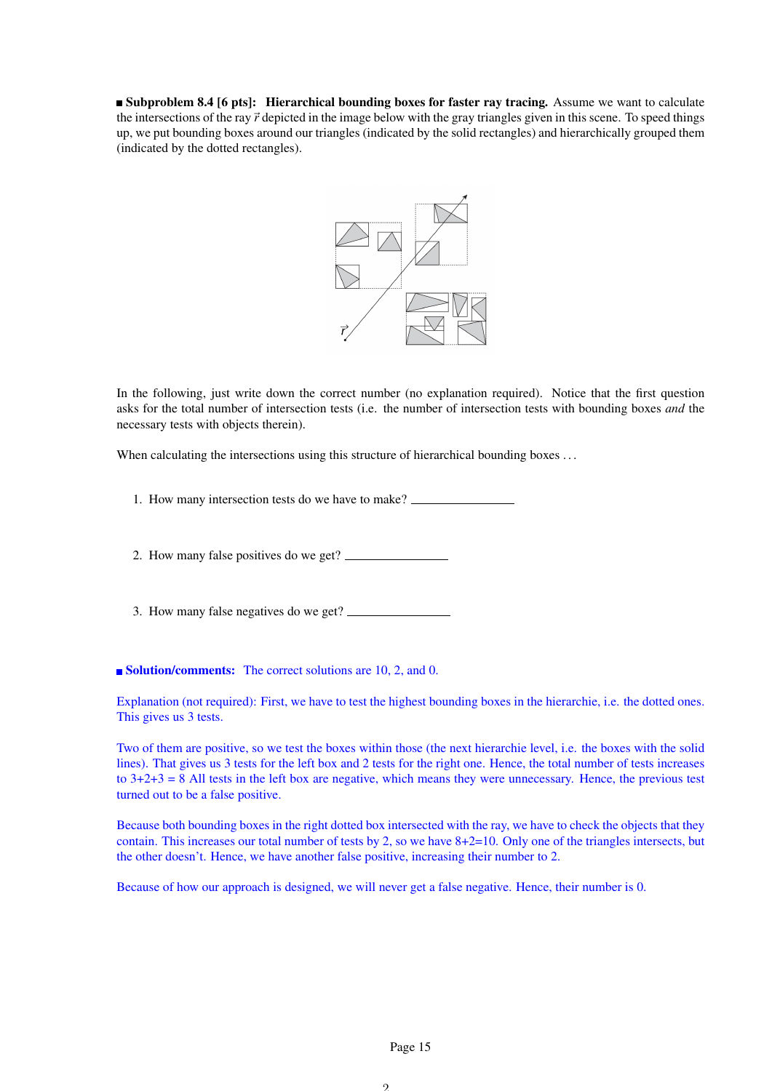**Subproblem 8.4 [6 pts]: Hierarchical bounding boxes for faster ray tracing.** Assume we want to calculate the intersections of the ray  $\vec{r}$  depicted in the image below with the gray triangles given in this scene. To speed things up, we put bounding boxes around our triangles (indicated by the solid rectangles) and hierarchically grouped them (indicated by the dotted rectangles).



In the following, just write down the correct number (no explanation required). Notice that the first question asks for the total number of intersection tests (i.e. the number of intersection tests with bounding boxes *and* the necessary tests with objects therein).

When calculating the intersections using this structure of hierarchical bounding boxes ...

1. How many intersection tests do we have to make?

2. How many false positives do we get?

3. How many false negatives do we get?

Solution/comments: The correct solutions are 10, 2, and 0.

Explanation (not required): First, we have to test the highest bounding boxes in the hierarchie, i.e. the dotted ones. This gives us 3 tests.

Two of them are positive, so we test the boxes within those (the next hierarchie level, i.e. the boxes with the solid lines). That gives us 3 tests for the left box and 2 tests for the right one. Hence, the total number of tests increases to  $3+2+3 = 8$  All tests in the left box are negative, which means they were unnecessary. Hence, the previous test turned out to be a false positive.

Because both bounding boxes in the right dotted box intersected with the ray, we have to check the objects that they contain. This increases our total number of tests by 2, so we have 8+2=10. Only one of the triangles intersects, but the other doesn't. Hence, we have another false positive, increasing their number to 2.

Because of how our approach is designed, we will never get a false negative. Hence, their number is 0.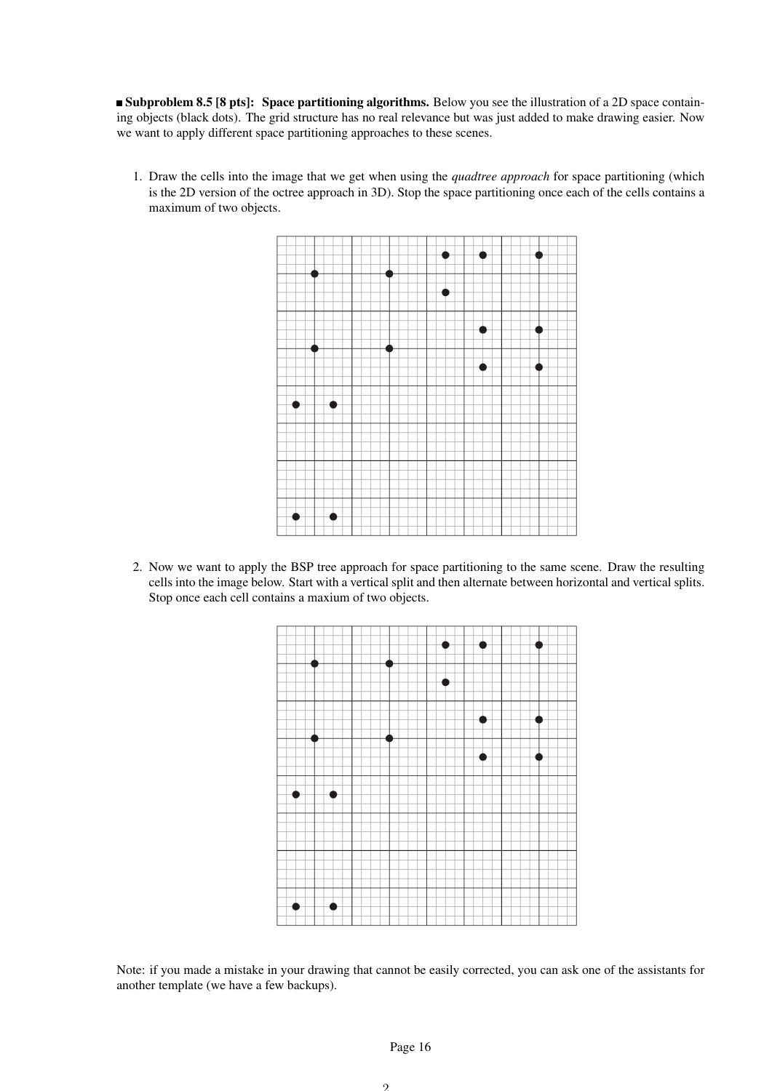Subproblem 8.5 [8 pts]: Space partitioning algorithms. Below you see the illustration of a 2D space containing objects (black dots). The grid structure has no real relevance but was just added to make drawing easier. Now we want to apply different space partitioning approaches to these scenes.

1. Draw the cells into the image that we get when using the *quadtree approach* for space partitioning (which is the 2D version of the octree approach in 3D). Stop the space partitioning once each of the cells contains a maximum of two objects.



2. Now we want to apply the BSP tree approach for space partitioning to the same scene. Draw the resulting cells into the image below. Start with a vertical split and then alternate between horizontal and vertical splits. Stop once each cell contains a maxium of two objects.



Note: if you made a mistake in your drawing that cannot be easily corrected, you can ask one of the assistants for another template (we have a few backups).